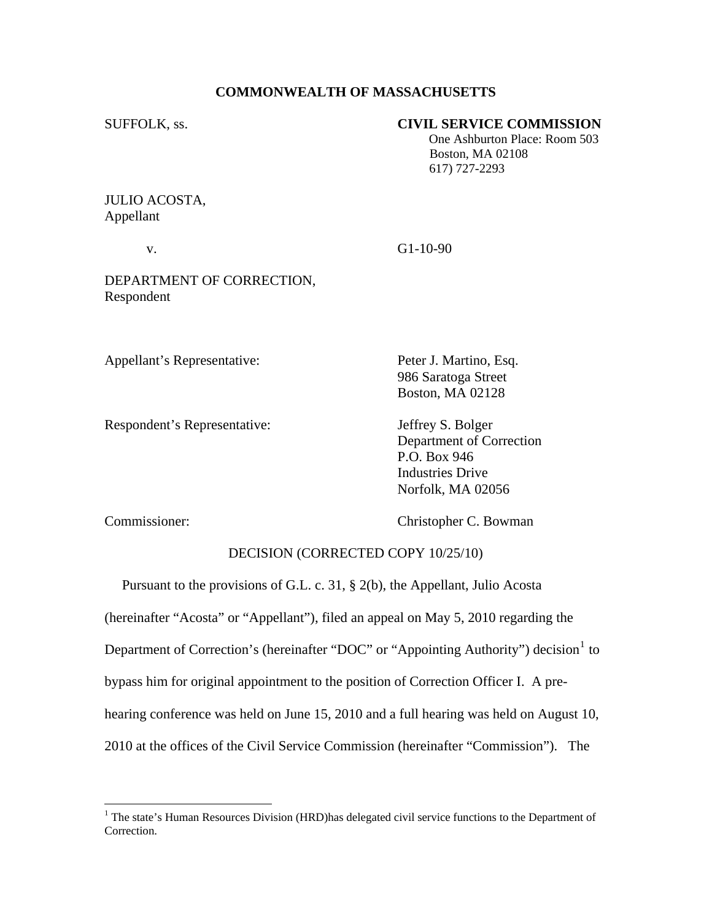# **COMMONWEALTH OF MASSACHUSETTS**

# SUFFOLK, ss. **CIVIL SERVICE COMMISSION**

 One Ashburton Place: Room 503 Boston, MA 02108 617) 727-2293

JULIO ACOSTA, Appellant

v. G1-10-90

DEPARTMENT OF CORRECTION, Respondent

Appellant's Representative: Peter J. Martino, Esq.

Respondent's Representative: Jeffrey S. Bolger

 986 Saratoga Street Boston, MA 02128

 Department of Correction P.O. Box 946 Industries Drive Norfolk, MA 02056

 $\overline{a}$ 

Commissioner: Christopher C. Bowman

### DECISION (CORRECTED COPY 10/25/10)

 Pursuant to the provisions of G.L. c. 31, § 2(b), the Appellant, Julio Acosta (hereinafter "Acosta" or "Appellant"), filed an appeal on May 5, 2010 regarding the Department of Correction's (hereinafter "DOC" or "Appointing Authority") decision  $1$  to bypass him for original appointment to the position of Correction Officer I. A prehearing conference was held on June 15, 2010 and a full hearing was held on August 10, 2010 at the offices of the Civil Service Commission (hereinafter "Commission"). The

<span id="page-0-0"></span><sup>&</sup>lt;sup>1</sup> The state's Human Resources Division (HRD) has delegated civil service functions to the Department of Correction.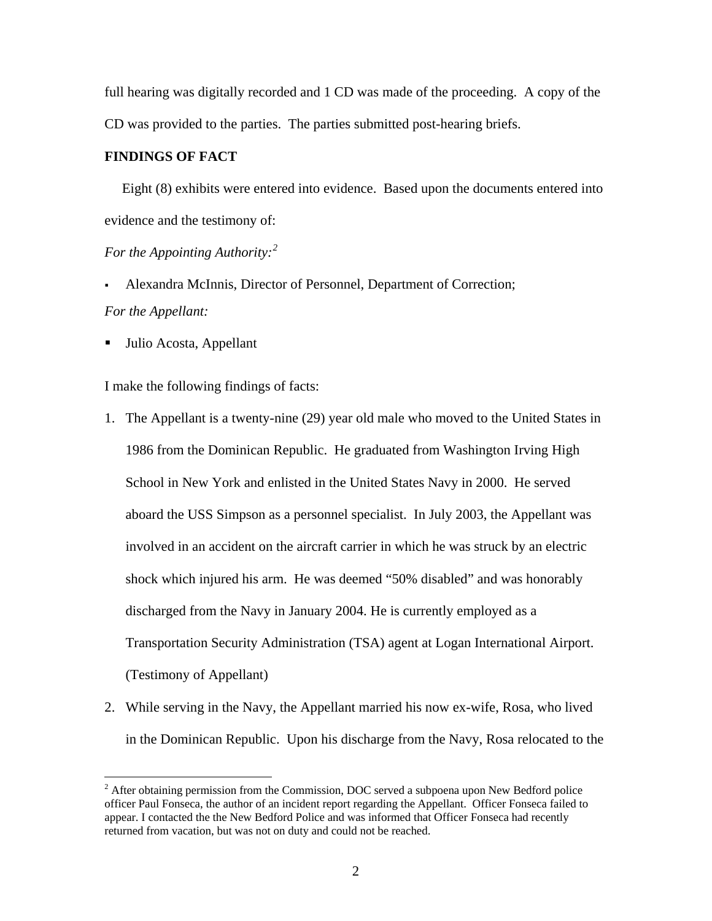full hearing was digitally recorded and 1 CD was made of the proceeding. A copy of the CD was provided to the parties. The parties submitted post-hearing briefs.

### **FINDINGS OF FACT**

 Eight (8) exhibits were entered into evidence. Based upon the documents entered into evidence and the testimony of:

# *For the Appointing Authority:[2](#page-1-0)*

- Alexandra McInnis, Director of Personnel, Department of Correction; *For the Appellant:*
- Julio Acosta, Appellant

 $\overline{a}$ 

I make the following findings of facts:

- 1. The Appellant is a twenty-nine (29) year old male who moved to the United States in 1986 from the Dominican Republic. He graduated from Washington Irving High School in New York and enlisted in the United States Navy in 2000. He served aboard the USS Simpson as a personnel specialist. In July 2003, the Appellant was involved in an accident on the aircraft carrier in which he was struck by an electric shock which injured his arm. He was deemed "50% disabled" and was honorably discharged from the Navy in January 2004. He is currently employed as a Transportation Security Administration (TSA) agent at Logan International Airport. (Testimony of Appellant)
- 2. While serving in the Navy, the Appellant married his now ex-wife, Rosa, who lived in the Dominican Republic. Upon his discharge from the Navy, Rosa relocated to the

<span id="page-1-0"></span> $2^2$  After obtaining permission from the Commission, DOC served a subpoena upon New Bedford police officer Paul Fonseca, the author of an incident report regarding the Appellant. Officer Fonseca failed to appear. I contacted the the New Bedford Police and was informed that Officer Fonseca had recently returned from vacation, but was not on duty and could not be reached.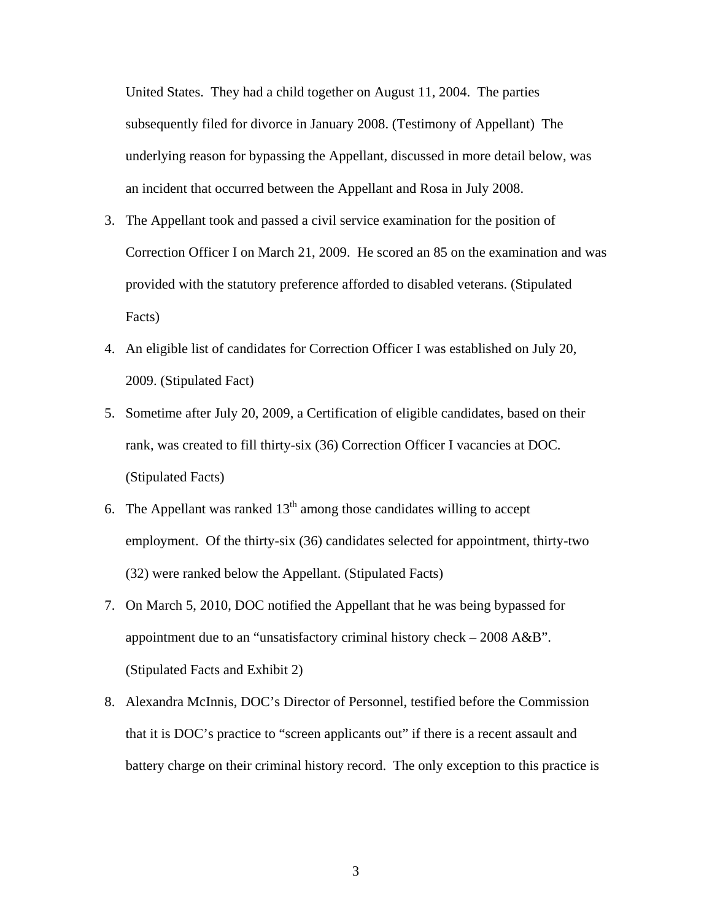United States. They had a child together on August 11, 2004. The parties subsequently filed for divorce in January 2008. (Testimony of Appellant) The underlying reason for bypassing the Appellant, discussed in more detail below, was an incident that occurred between the Appellant and Rosa in July 2008.

- 3. The Appellant took and passed a civil service examination for the position of Correction Officer I on March 21, 2009. He scored an 85 on the examination and was provided with the statutory preference afforded to disabled veterans. (Stipulated Facts)
- 4. An eligible list of candidates for Correction Officer I was established on July 20, 2009. (Stipulated Fact)
- 5. Sometime after July 20, 2009, a Certification of eligible candidates, based on their rank, was created to fill thirty-six (36) Correction Officer I vacancies at DOC. (Stipulated Facts)
- 6. The Appellant was ranked  $13<sup>th</sup>$  among those candidates willing to accept employment. Of the thirty-six (36) candidates selected for appointment, thirty-two (32) were ranked below the Appellant. (Stipulated Facts)
- 7. On March 5, 2010, DOC notified the Appellant that he was being bypassed for appointment due to an "unsatisfactory criminal history check – 2008 A&B". (Stipulated Facts and Exhibit 2)
- 8. Alexandra McInnis, DOC's Director of Personnel, testified before the Commission that it is DOC's practice to "screen applicants out" if there is a recent assault and battery charge on their criminal history record. The only exception to this practice is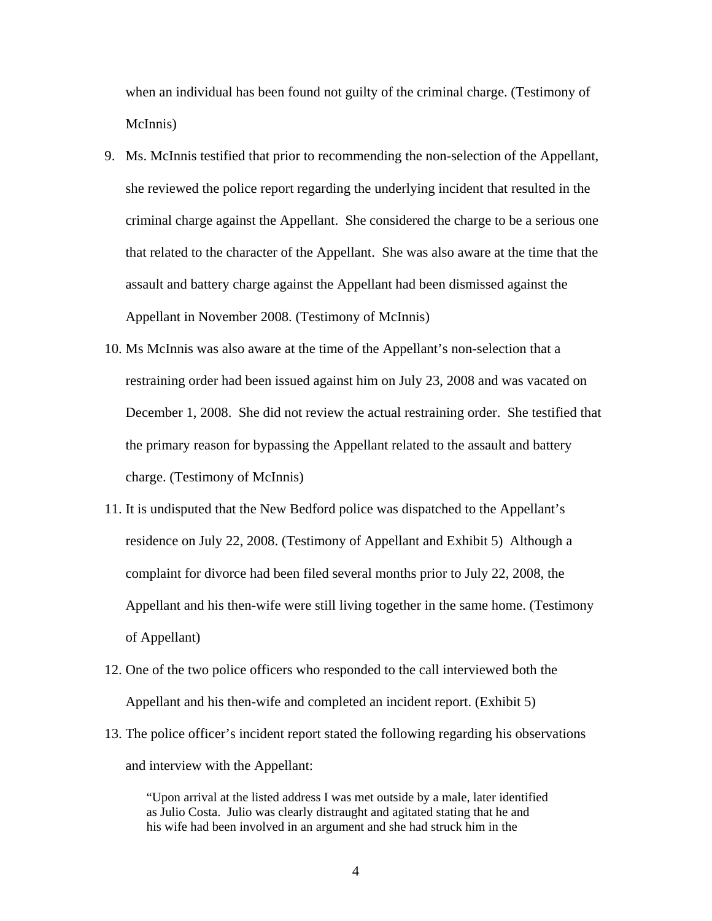when an individual has been found not guilty of the criminal charge. (Testimony of McInnis)

- 9. Ms. McInnis testified that prior to recommending the non-selection of the Appellant, she reviewed the police report regarding the underlying incident that resulted in the criminal charge against the Appellant. She considered the charge to be a serious one that related to the character of the Appellant. She was also aware at the time that the assault and battery charge against the Appellant had been dismissed against the Appellant in November 2008. (Testimony of McInnis)
- 10. Ms McInnis was also aware at the time of the Appellant's non-selection that a restraining order had been issued against him on July 23, 2008 and was vacated on December 1, 2008. She did not review the actual restraining order. She testified that the primary reason for bypassing the Appellant related to the assault and battery charge. (Testimony of McInnis)
- 11. It is undisputed that the New Bedford police was dispatched to the Appellant's residence on July 22, 2008. (Testimony of Appellant and Exhibit 5) Although a complaint for divorce had been filed several months prior to July 22, 2008, the Appellant and his then-wife were still living together in the same home. (Testimony of Appellant)
- 12. One of the two police officers who responded to the call interviewed both the Appellant and his then-wife and completed an incident report. (Exhibit 5)
- 13. The police officer's incident report stated the following regarding his observations and interview with the Appellant:

"Upon arrival at the listed address I was met outside by a male, later identified as Julio Costa. Julio was clearly distraught and agitated stating that he and his wife had been involved in an argument and she had struck him in the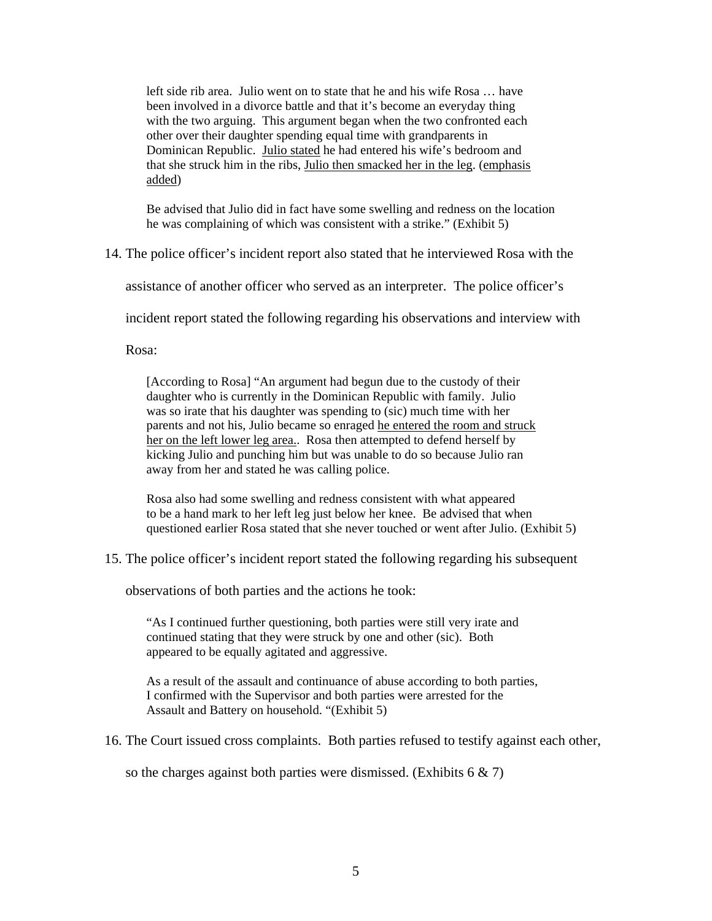left side rib area. Julio went on to state that he and his wife Rosa … have been involved in a divorce battle and that it's become an everyday thing with the two arguing. This argument began when the two confronted each other over their daughter spending equal time with grandparents in Dominican Republic. Julio stated he had entered his wife's bedroom and that she struck him in the ribs, Julio then smacked her in the leg. (emphasis added)

Be advised that Julio did in fact have some swelling and redness on the location he was complaining of which was consistent with a strike." (Exhibit 5)

14. The police officer's incident report also stated that he interviewed Rosa with the

assistance of another officer who served as an interpreter. The police officer's

incident report stated the following regarding his observations and interview with

Rosa:

[According to Rosa] "An argument had begun due to the custody of their daughter who is currently in the Dominican Republic with family. Julio was so irate that his daughter was spending to (sic) much time with her parents and not his, Julio became so enraged he entered the room and struck her on the left lower leg area.. Rosa then attempted to defend herself by kicking Julio and punching him but was unable to do so because Julio ran away from her and stated he was calling police.

Rosa also had some swelling and redness consistent with what appeared to be a hand mark to her left leg just below her knee. Be advised that when questioned earlier Rosa stated that she never touched or went after Julio. (Exhibit 5)

15. The police officer's incident report stated the following regarding his subsequent

observations of both parties and the actions he took:

"As I continued further questioning, both parties were still very irate and continued stating that they were struck by one and other (sic). Both appeared to be equally agitated and aggressive.

As a result of the assault and continuance of abuse according to both parties, I confirmed with the Supervisor and both parties were arrested for the Assault and Battery on household. "(Exhibit 5)

16. The Court issued cross complaints. Both parties refused to testify against each other,

so the charges against both parties were dismissed. (Exhibits  $6 \& 7$ )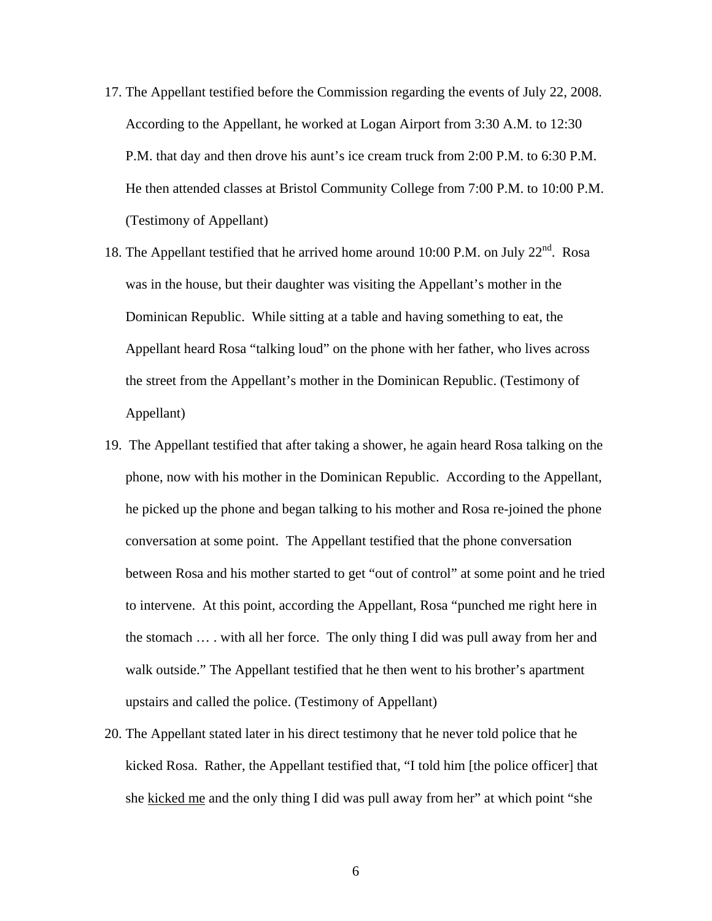- 17. The Appellant testified before the Commission regarding the events of July 22, 2008. According to the Appellant, he worked at Logan Airport from 3:30 A.M. to 12:30 P.M. that day and then drove his aunt's ice cream truck from 2:00 P.M. to 6:30 P.M. He then attended classes at Bristol Community College from 7:00 P.M. to 10:00 P.M. (Testimony of Appellant)
- 18. The Appellant testified that he arrived home around 10:00 P.M. on July  $22^{nd}$ . Rosa was in the house, but their daughter was visiting the Appellant's mother in the Dominican Republic. While sitting at a table and having something to eat, the Appellant heard Rosa "talking loud" on the phone with her father, who lives across the street from the Appellant's mother in the Dominican Republic. (Testimony of Appellant)
- 19. The Appellant testified that after taking a shower, he again heard Rosa talking on the phone, now with his mother in the Dominican Republic. According to the Appellant, he picked up the phone and began talking to his mother and Rosa re-joined the phone conversation at some point. The Appellant testified that the phone conversation between Rosa and his mother started to get "out of control" at some point and he tried to intervene. At this point, according the Appellant, Rosa "punched me right here in the stomach … . with all her force. The only thing I did was pull away from her and walk outside." The Appellant testified that he then went to his brother's apartment upstairs and called the police. (Testimony of Appellant)
- 20. The Appellant stated later in his direct testimony that he never told police that he kicked Rosa. Rather, the Appellant testified that, "I told him [the police officer] that she kicked me and the only thing I did was pull away from her" at which point "she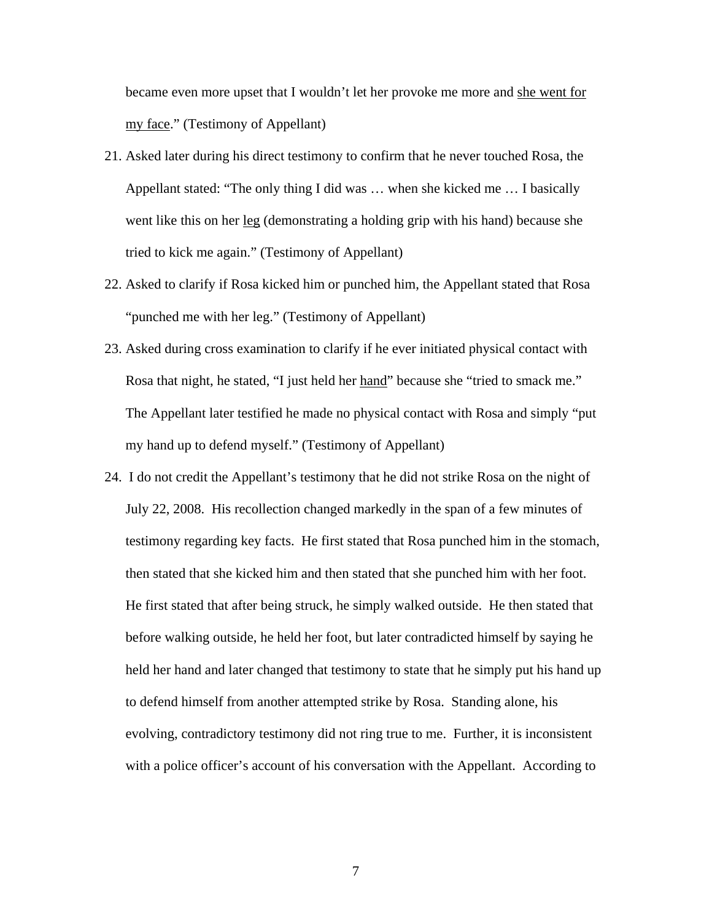became even more upset that I wouldn't let her provoke me more and she went for my face." (Testimony of Appellant)

- 21. Asked later during his direct testimony to confirm that he never touched Rosa, the Appellant stated: "The only thing I did was … when she kicked me … I basically went like this on her leg (demonstrating a holding grip with his hand) because she tried to kick me again." (Testimony of Appellant)
- 22. Asked to clarify if Rosa kicked him or punched him, the Appellant stated that Rosa "punched me with her leg." (Testimony of Appellant)
- 23. Asked during cross examination to clarify if he ever initiated physical contact with Rosa that night, he stated, "I just held her hand" because she "tried to smack me." The Appellant later testified he made no physical contact with Rosa and simply "put my hand up to defend myself." (Testimony of Appellant)
- 24. I do not credit the Appellant's testimony that he did not strike Rosa on the night of July 22, 2008. His recollection changed markedly in the span of a few minutes of testimony regarding key facts. He first stated that Rosa punched him in the stomach, then stated that she kicked him and then stated that she punched him with her foot. He first stated that after being struck, he simply walked outside. He then stated that before walking outside, he held her foot, but later contradicted himself by saying he held her hand and later changed that testimony to state that he simply put his hand up to defend himself from another attempted strike by Rosa. Standing alone, his evolving, contradictory testimony did not ring true to me. Further, it is inconsistent with a police officer's account of his conversation with the Appellant. According to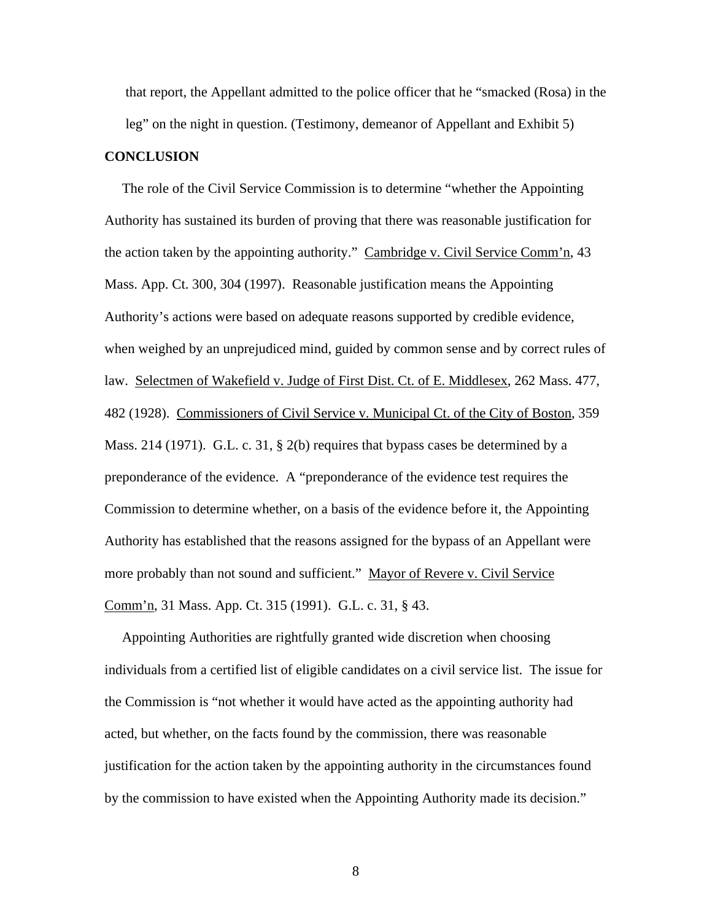that report, the Appellant admitted to the police officer that he "smacked (Rosa) in the leg" on the night in question. (Testimony, demeanor of Appellant and Exhibit 5)

### **CONCLUSION**

 The role of the Civil Service Commission is to determine "whether the Appointing Authority has sustained its burden of proving that there was reasonable justification for the action taken by the appointing authority." Cambridge v. Civil Service Comm'n, 43 Mass. App. Ct. 300, 304 (1997). Reasonable justification means the Appointing Authority's actions were based on adequate reasons supported by credible evidence, when weighed by an unprejudiced mind, guided by common sense and by correct rules of law. Selectmen of Wakefield v. Judge of First Dist. Ct. of E. Middlesex, 262 Mass. 477, 482 (1928). Commissioners of Civil Service v. Municipal Ct. of the City of Boston, 359 Mass. 214 (1971). G.L. c. 31, § 2(b) requires that bypass cases be determined by a preponderance of the evidence. A "preponderance of the evidence test requires the Commission to determine whether, on a basis of the evidence before it, the Appointing Authority has established that the reasons assigned for the bypass of an Appellant were more probably than not sound and sufficient." Mayor of Revere v. Civil Service Comm'n, 31 Mass. App. Ct. 315 (1991). G.L. c. 31, § 43.

 Appointing Authorities are rightfully granted wide discretion when choosing individuals from a certified list of eligible candidates on a civil service list. The issue for the Commission is "not whether it would have acted as the appointing authority had acted, but whether, on the facts found by the commission, there was reasonable justification for the action taken by the appointing authority in the circumstances found by the commission to have existed when the Appointing Authority made its decision."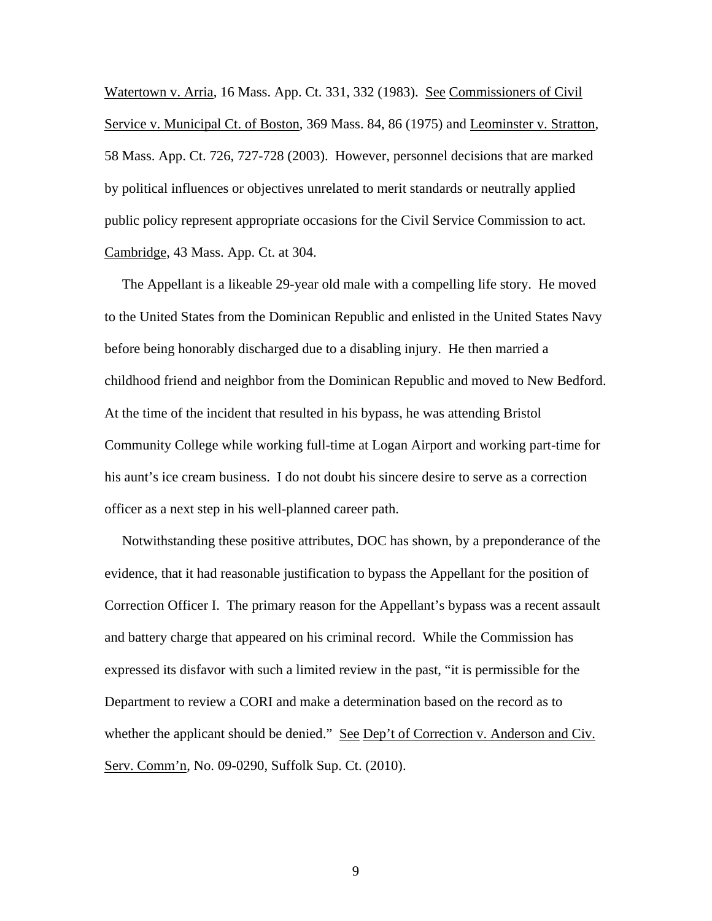Watertown v. Arria, 16 Mass. App. Ct. 331, 332 (1983). See Commissioners of Civil Service v. Municipal Ct. of Boston, 369 Mass. 84, 86 (1975) and Leominster v. Stratton, 58 Mass. App. Ct. 726, 727-728 (2003). However, personnel decisions that are marked by political influences or objectives unrelated to merit standards or neutrally applied public policy represent appropriate occasions for the Civil Service Commission to act. Cambridge, 43 Mass. App. Ct. at 304.

 The Appellant is a likeable 29-year old male with a compelling life story. He moved to the United States from the Dominican Republic and enlisted in the United States Navy before being honorably discharged due to a disabling injury. He then married a childhood friend and neighbor from the Dominican Republic and moved to New Bedford. At the time of the incident that resulted in his bypass, he was attending Bristol Community College while working full-time at Logan Airport and working part-time for his aunt's ice cream business. I do not doubt his sincere desire to serve as a correction officer as a next step in his well-planned career path.

 Notwithstanding these positive attributes, DOC has shown, by a preponderance of the evidence, that it had reasonable justification to bypass the Appellant for the position of Correction Officer I. The primary reason for the Appellant's bypass was a recent assault and battery charge that appeared on his criminal record. While the Commission has expressed its disfavor with such a limited review in the past, "it is permissible for the Department to review a CORI and make a determination based on the record as to whether the applicant should be denied." See Dep't of Correction v. Anderson and Civ. Serv. Comm'n, No. 09-0290, Suffolk Sup. Ct. (2010).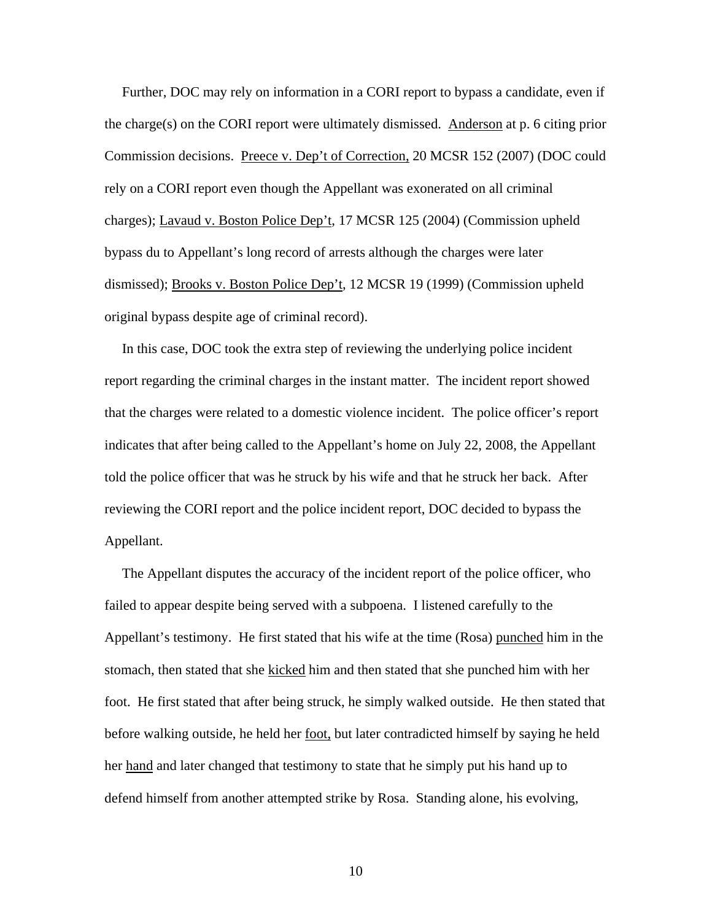Further, DOC may rely on information in a CORI report to bypass a candidate, even if the charge(s) on the CORI report were ultimately dismissed. Anderson at p. 6 citing prior Commission decisions. Preece v. Dep't of Correction, 20 MCSR 152 (2007) (DOC could rely on a CORI report even though the Appellant was exonerated on all criminal charges); Lavaud v. Boston Police Dep't, 17 MCSR 125 (2004) (Commission upheld bypass du to Appellant's long record of arrests although the charges were later dismissed); Brooks v. Boston Police Dep't, 12 MCSR 19 (1999) (Commission upheld original bypass despite age of criminal record).

 In this case, DOC took the extra step of reviewing the underlying police incident report regarding the criminal charges in the instant matter. The incident report showed that the charges were related to a domestic violence incident. The police officer's report indicates that after being called to the Appellant's home on July 22, 2008, the Appellant told the police officer that was he struck by his wife and that he struck her back. After reviewing the CORI report and the police incident report, DOC decided to bypass the Appellant.

 The Appellant disputes the accuracy of the incident report of the police officer, who failed to appear despite being served with a subpoena. I listened carefully to the Appellant's testimony. He first stated that his wife at the time (Rosa) punched him in the stomach, then stated that she kicked him and then stated that she punched him with her foot. He first stated that after being struck, he simply walked outside. He then stated that before walking outside, he held her foot, but later contradicted himself by saying he held her hand and later changed that testimony to state that he simply put his hand up to defend himself from another attempted strike by Rosa. Standing alone, his evolving,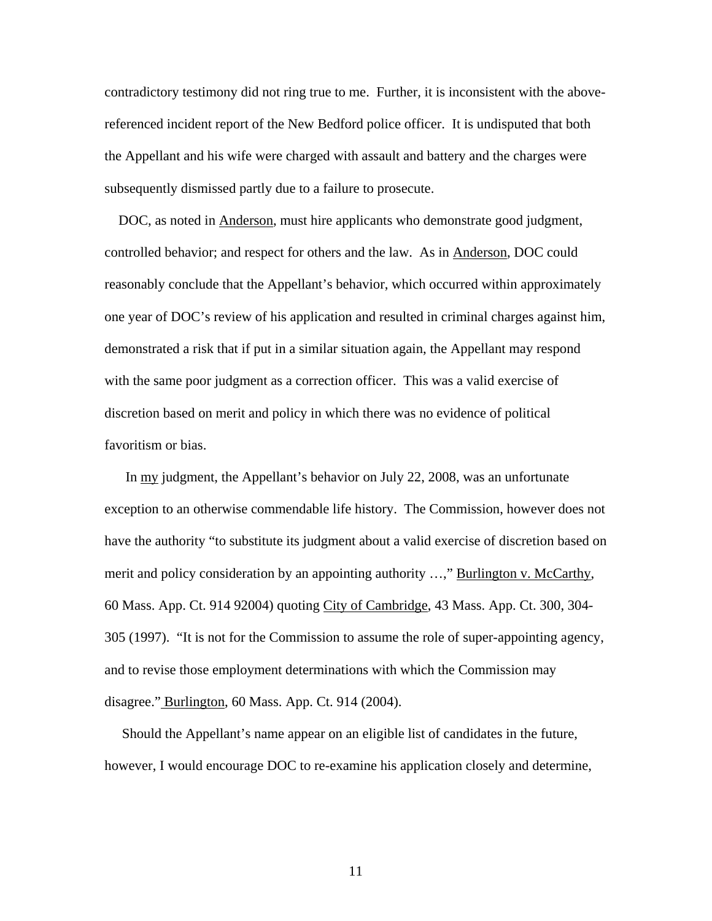contradictory testimony did not ring true to me. Further, it is inconsistent with the abovereferenced incident report of the New Bedford police officer. It is undisputed that both the Appellant and his wife were charged with assault and battery and the charges were subsequently dismissed partly due to a failure to prosecute.

 DOC, as noted in Anderson, must hire applicants who demonstrate good judgment, controlled behavior; and respect for others and the law. As in Anderson, DOC could reasonably conclude that the Appellant's behavior, which occurred within approximately one year of DOC's review of his application and resulted in criminal charges against him, demonstrated a risk that if put in a similar situation again, the Appellant may respond with the same poor judgment as a correction officer. This was a valid exercise of discretion based on merit and policy in which there was no evidence of political favoritism or bias.

 In my judgment, the Appellant's behavior on July 22, 2008, was an unfortunate exception to an otherwise commendable life history. The Commission, however does not have the authority "to substitute its judgment about a valid exercise of discretion based on merit and policy consideration by an appointing authority ...," Burlington v. McCarthy, 60 Mass. App. Ct. 914 92004) quoting City of Cambridge, 43 Mass. App. Ct. 300, 304- 305 (1997). "It is not for the Commission to assume the role of super-appointing agency, and to revise those employment determinations with which the Commission may disagree." Burlington, 60 Mass. App. Ct. 914 (2004).

 Should the Appellant's name appear on an eligible list of candidates in the future, however, I would encourage DOC to re-examine his application closely and determine,